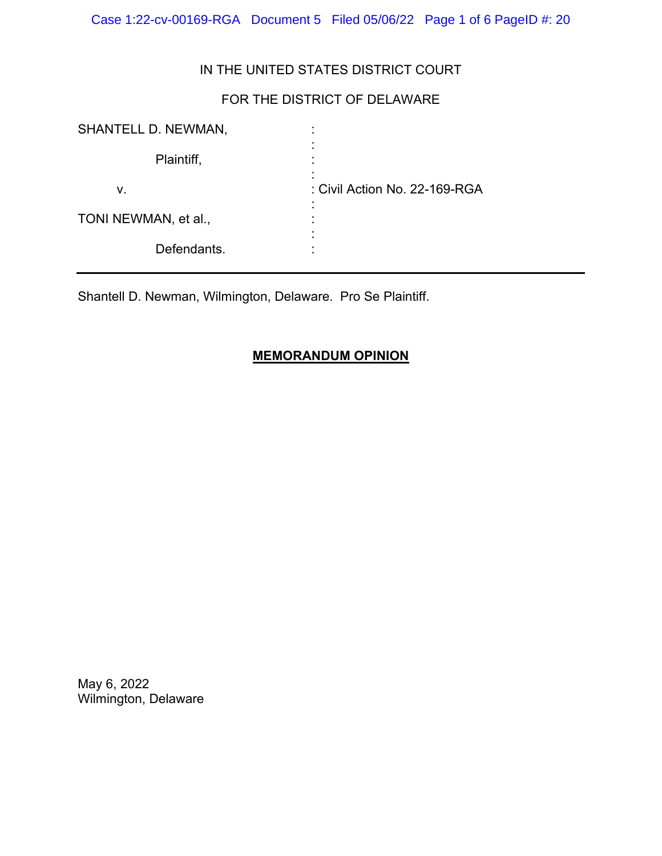Case 1:22-cv-00169-RGA Document 5 Filed 05/06/22 Page 1 of 6 PageID #: 20

## IN THE UNITED STATES DISTRICT COURT

# FOR THE DISTRICT OF DELAWARE

| SHANTELL D. NEWMAN,  | ٠<br>٠                        |
|----------------------|-------------------------------|
| Plaintiff,           |                               |
| v.                   | : Civil Action No. 22-169-RGA |
| TONI NEWMAN, et al., | ٠                             |
| Defendants.          |                               |

Shantell D. Newman, Wilmington, Delaware. Pro Se Plaintiff.

## **MEMORANDUM OPINION**

May 6, 2022 Wilmington, Delaware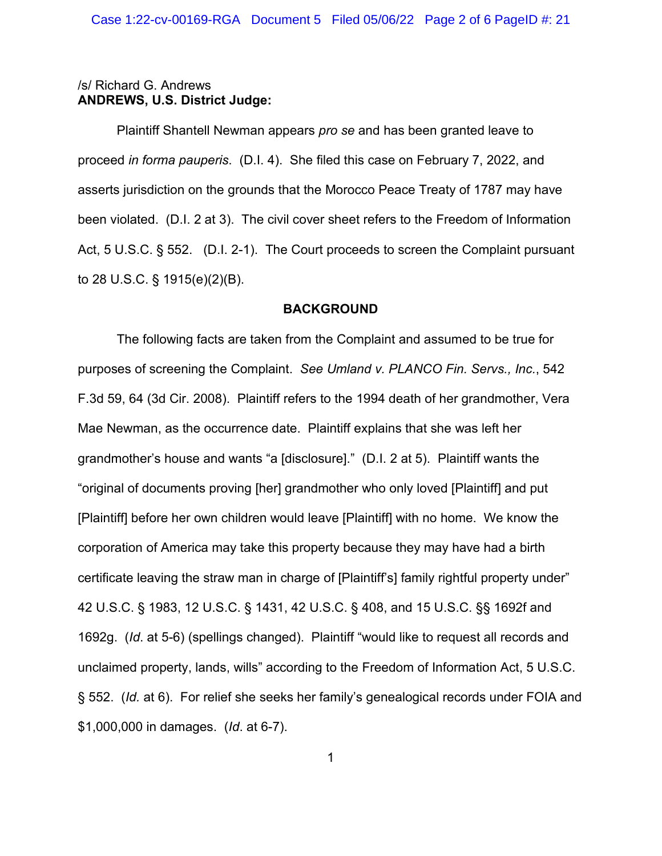## /s/ Richard G. Andrews **ANDREWS, U.S. District Judge:**

Plaintiff Shantell Newman appears *pro se* and has been granted leave to proceed *in forma pauperis*. (D.I. 4). She filed this case on February 7, 2022, and asserts jurisdiction on the grounds that the Morocco Peace Treaty of 1787 may have been violated. (D.I. 2 at 3). The civil cover sheet refers to the Freedom of Information Act, 5 U.S.C. § 552. (D.I. 2-1). The Court proceeds to screen the Complaint pursuant to 28 U.S.C. § 1915(e)(2)(B).

## **BACKGROUND**

The following facts are taken from the Complaint and assumed to be true for purposes of screening the Complaint. *See Umland v. PLANCO Fin. Servs., Inc.*, 542 F.3d 59, 64 (3d Cir. 2008). Plaintiff refers to the 1994 death of her grandmother, Vera Mae Newman, as the occurrence date. Plaintiff explains that she was left her grandmother's house and wants "a [disclosure]." (D.I. 2 at 5). Plaintiff wants the "original of documents proving [her] grandmother who only loved [Plaintiff] and put [Plaintiff] before her own children would leave [Plaintiff] with no home. We know the corporation of America may take this property because they may have had a birth certificate leaving the straw man in charge of [Plaintiff's] family rightful property under" 42 U.S.C. § 1983, 12 U.S.C. § 1431, 42 U.S.C. § 408, and 15 U.S.C. §§ 1692f and 1692g. (*Id*. at 5-6) (spellings changed). Plaintiff "would like to request all records and unclaimed property, lands, wills" according to the Freedom of Information Act, 5 U.S.C. § 552. (*Id.* at 6). For relief she seeks her family's genealogical records under FOIA and \$1,000,000 in damages. (*Id*. at 6-7).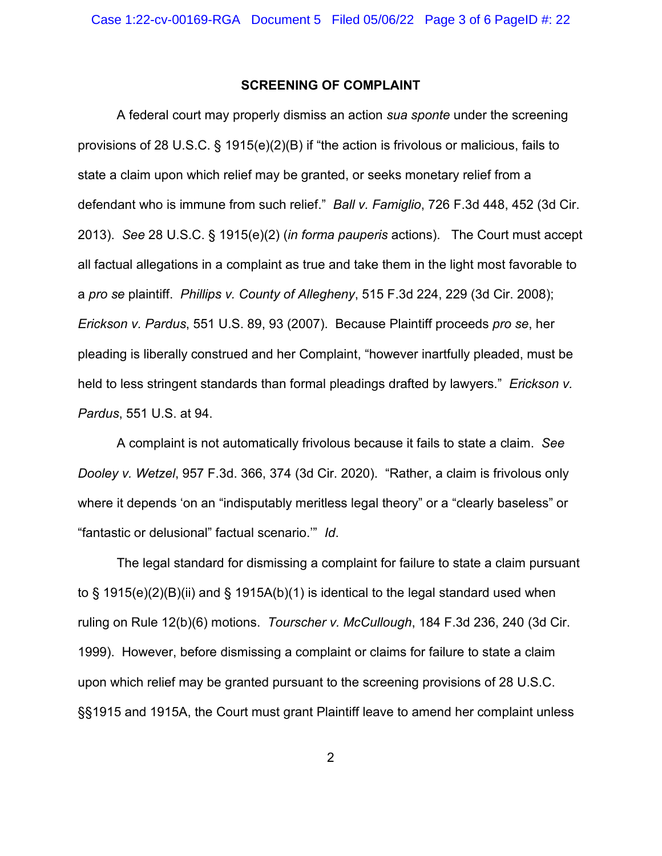### **SCREENING OF COMPLAINT**

A federal court may properly dismiss an action *sua sponte* under the screening provisions of 28 U.S.C. § 1915(e)(2)(B) if "the action is frivolous or malicious, fails to state a claim upon which relief may be granted, or seeks monetary relief from a defendant who is immune from such relief." *Ball v. Famiglio*, 726 F.3d 448, 452 (3d Cir. 2013). *See* 28 U.S.C. § 1915(e)(2) (*in forma pauperis* actions). The Court must accept all factual allegations in a complaint as true and take them in the light most favorable to a *pro se* plaintiff. *Phillips v. County of Allegheny*, 515 F.3d 224, 229 (3d Cir. 2008); *Erickson v. Pardus*, 551 U.S. 89, 93 (2007). Because Plaintiff proceeds *pro se*, her pleading is liberally construed and her Complaint, "however inartfully pleaded, must be held to less stringent standards than formal pleadings drafted by lawyers." *Erickson v. Pardus*, 551 U.S. at 94.

A complaint is not automatically frivolous because it fails to state a claim. *See Dooley v. Wetzel*, 957 F.3d. 366, 374 (3d Cir. 2020). "Rather, a claim is frivolous only where it depends 'on an "indisputably meritless legal theory" or a "clearly baseless" or "fantastic or delusional" factual scenario.'" *Id*.

The legal standard for dismissing a complaint for failure to state a claim pursuant to § 1915(e)(2)(B)(ii) and § 1915A(b)(1) is identical to the legal standard used when ruling on Rule 12(b)(6) motions. *Tourscher v. McCullough*, 184 F.3d 236, 240 (3d Cir. 1999). However, before dismissing a complaint or claims for failure to state a claim upon which relief may be granted pursuant to the screening provisions of 28 U.S.C. §§1915 and 1915A, the Court must grant Plaintiff leave to amend her complaint unless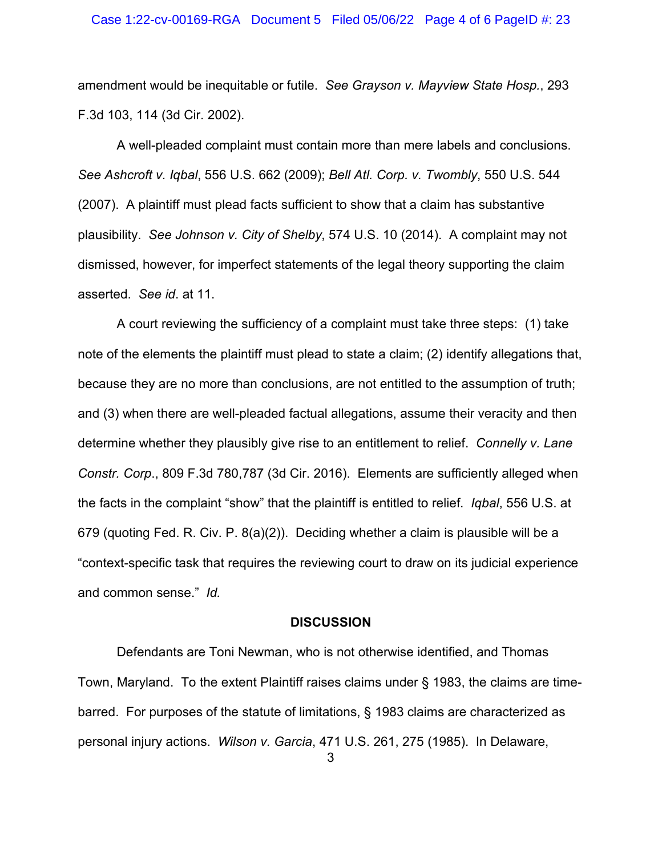### Case 1:22-cv-00169-RGA Document 5 Filed 05/06/22 Page 4 of 6 PageID #: 23

amendment would be inequitable or futile. *See Grayson v. Mayview State Hosp.*, 293 F.3d 103, 114 (3d Cir. 2002).

A well-pleaded complaint must contain more than mere labels and conclusions. *See Ashcroft v. Iqbal*, 556 U.S. 662 (2009); *Bell Atl. Corp. v. Twombly*, 550 U.S. 544 (2007). A plaintiff must plead facts sufficient to show that a claim has substantive plausibility. *See Johnson v. City of Shelby*, 574 U.S. 10 (2014). A complaint may not dismissed, however, for imperfect statements of the legal theory supporting the claim asserted. *See id*. at 11.

A court reviewing the sufficiency of a complaint must take three steps: (1) take note of the elements the plaintiff must plead to state a claim; (2) identify allegations that, because they are no more than conclusions, are not entitled to the assumption of truth; and (3) when there are well-pleaded factual allegations, assume their veracity and then determine whether they plausibly give rise to an entitlement to relief. *Connelly v. Lane Constr. Corp*., 809 F.3d 780,787 (3d Cir. 2016). Elements are sufficiently alleged when the facts in the complaint "show" that the plaintiff is entitled to relief. *Iqbal*, 556 U.S. at 679 (quoting Fed. R. Civ. P. 8(a)(2)). Deciding whether a claim is plausible will be a "context-specific task that requires the reviewing court to draw on its judicial experience and common sense." *Id.*

### **DISCUSSION**

Defendants are Toni Newman, who is not otherwise identified, and Thomas Town, Maryland. To the extent Plaintiff raises claims under § 1983, the claims are timebarred. For purposes of the statute of limitations, § 1983 claims are characterized as personal injury actions. *Wilson v. Garcia*, 471 U.S. 261, 275 (1985). In Delaware,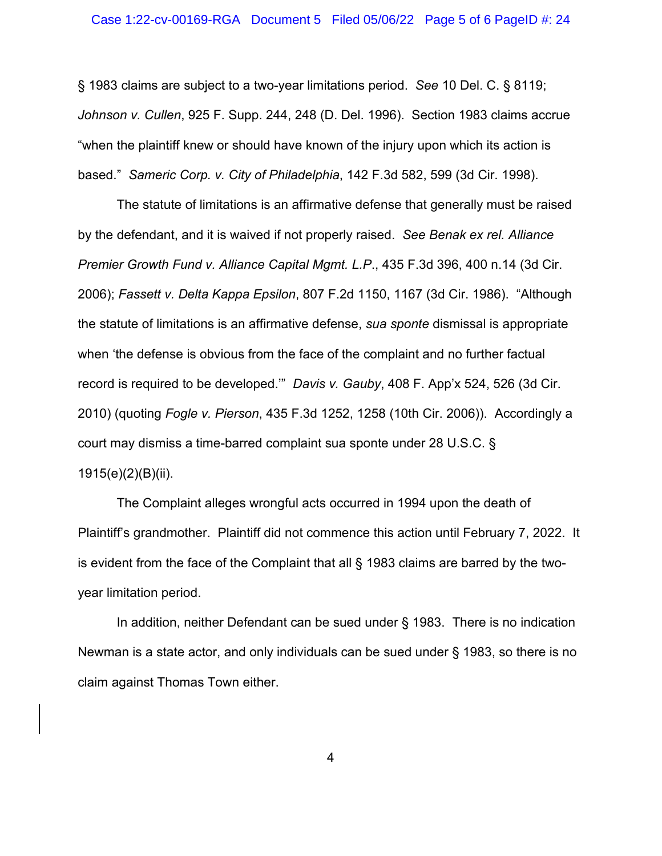§ 1983 claims are subject to a two-year limitations period. *See* 10 Del. C. § 8119; *Johnson v. Cullen*, 925 F. Supp. 244, 248 (D. Del. 1996). Section 1983 claims accrue "when the plaintiff knew or should have known of the injury upon which its action is based." *Sameric Corp. v. City of Philadelphia*, 142 F.3d 582, 599 (3d Cir. 1998).

The statute of limitations is an affirmative defense that generally must be raised by the defendant, and it is waived if not properly raised. *See Benak ex rel. Alliance Premier Growth Fund v. Alliance Capital Mgmt. L.P*., 435 F.3d 396, 400 n.14 (3d Cir. 2006); *Fassett v. Delta Kappa Epsilon*, 807 F.2d 1150, 1167 (3d Cir. 1986). "Although the statute of limitations is an affirmative defense, *sua sponte* dismissal is appropriate when 'the defense is obvious from the face of the complaint and no further factual record is required to be developed.'" *Davis v. Gauby*, 408 F. App'x 524, 526 (3d Cir. 2010) (quoting *Fogle v. Pierson*, 435 F.3d 1252, 1258 (10th Cir. 2006)). Accordingly a court may dismiss a time-barred complaint sua sponte under 28 U.S.C. § 1915(e)(2)(B)(ii).

The Complaint alleges wrongful acts occurred in 1994 upon the death of Plaintiff's grandmother. Plaintiff did not commence this action until February 7, 2022. It is evident from the face of the Complaint that all § 1983 claims are barred by the twoyear limitation period.

In addition, neither Defendant can be sued under § 1983. There is no indication Newman is a state actor, and only individuals can be sued under § 1983, so there is no claim against Thomas Town either.